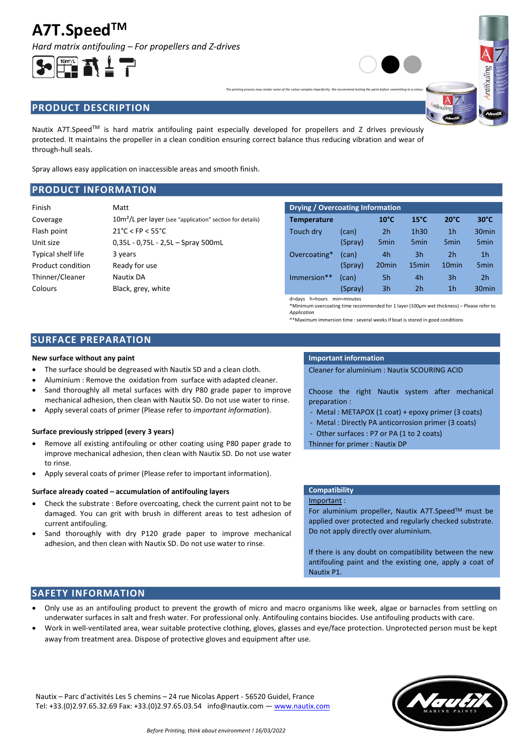# **A7T.SpeedTM**

*Hard matrix antifouling – For propellers and Z-drives*

# **PRODUCT DESCRIPTION**

Nautix A7T.Speed<sup>TM</sup> is hard matrix antifouling paint especially developed for propellers and Z drives previously protected. It maintains the propeller in a clean condition ensuring correct balance thus reducing vibration and wear of through-hull seals.

Spray allows easy application on inaccessible areas and smooth finish.

# **PRODUCT INFORMATION**

| Finish             | Matt                                                                  | Drying / Overcoating Information |         |                   |                   |                   |                   |
|--------------------|-----------------------------------------------------------------------|----------------------------------|---------|-------------------|-------------------|-------------------|-------------------|
| Coverage           | 10m <sup>2</sup> /L per layer (see "application" section for details) | <b>Temperature</b>               |         | $10^{\circ}$ C    | $15^{\circ}$ C    | $20^{\circ}$ C    | $30^{\circ}$ C    |
| Flash point        | $21^{\circ}$ C < FP < 55 $^{\circ}$ C                                 | Touch dry                        | (can)   | 2 <sub>h</sub>    | 1h30              | 1 <sub>h</sub>    | 30 <sub>min</sub> |
| Unit size          | $0.35L - 0.75L - 2.5L -$ Spray 500mL                                  |                                  | (Spray) | 5 <sub>min</sub>  | 5 <sub>min</sub>  | 5 <sub>min</sub>  | 5 <sub>min</sub>  |
| Typical shelf life | 3 years                                                               | Overcoating*                     | (can)   | 4h                | 3h                | 2 <sub>h</sub>    | 1 <sub>h</sub>    |
| Product condition  | Ready for use                                                         |                                  | (Spray) | 20 <sub>min</sub> | 15 <sub>min</sub> | 10 <sub>min</sub> | 5 <sub>min</sub>  |
| Thinner/Cleaner    | Nautix DA                                                             | Immersion**                      | (can)   | 5h                | 4h                | 3h                | 2 <sub>h</sub>    |
| Colours            | Black, grey, white                                                    |                                  | (Spray) | 3 <sub>h</sub>    | 2 <sub>h</sub>    | 1 <sub>h</sub>    | 30 <sub>min</sub> |
|                    |                                                                       | d=days h=hours min=minutes       |         |                   |                   |                   |                   |

\*Minimum overcoating time recommended for 1 layer (100µm wet thickness) – Please refer to *Application*

 $\circ\bullet\bullet$ 

\*\*Maximum immersion time : several weeks if boat is stored in good conditions

# **SURFACE PREPARATION**

## **New surface without any paint IMPO IMPORTANT INFORMATION Important information**

- The surface should be degreased with Nautix SD and a clean cloth.
- Aluminium : Remove the oxidation from surface with adapted cleaner.
- Sand thoroughly all metal surfaces with dry P80 grade paper to improve mechanical adhesion, then clean with Nautix SD. Do not use water to rinse.
- Apply several coats of primer (Please refer to *important information*).

# **Surface previously stripped (every 3 years)**

- Remove all existing antifouling or other coating using P80 paper grade to improve mechanical adhesion, then clean with Nautix SD. Do not use water to rinse.
- Apply several coats of primer (Please refer to important information).

## **Surface already coated – accumulation of antifouling layers**

- Check the substrate : Before overcoating, check the current paint not to be damaged. You can grit with brush in different areas to test adhesion of current antifouling.
- Sand thoroughly with dry P120 grade paper to improve mechanical adhesion, and then clean with Nautix SD. Do not use water to rinse.

*The printing process may render some of the colour samples imperfectly. We recommend testing the paint before committing to a colour.*

Cleaner for aluminium : Nautix SCOURING ACID

Choose the right Nautix system after mechanical preparation :

- Metal : METAPOX (1 coat) + epoxy primer (3 coats)
- Metal : Directly PA anticorrosion primer (3 coats)
- Other surfaces : P7 or PA (1 to 2 coats)
- Thinner for primer : Nautix DP

# **Compatibility**

Important :

For aluminium propeller, Nautix A7T.Speed™ must be applied over protected and regularly checked substrate. Do not apply directly over aluminium.

If there is any doubt on compatibility between the new antifouling paint and the existing one, apply a coat of Nautix P1.

# **SAFETY INFORMATION**

- Only use as an antifouling product to prevent the growth of micro and macro organisms like week, algae or barnacles from settling on underwater surfaces in salt and fresh water. For professional only. Antifouling contains biocides. Use antifouling products with care.
- Work in well-ventilated area, wear suitable protective clothing, gloves, glasses and eye/face protection. Unprotected person must be kept away from treatment area. Dispose of protective gloves and equipment after use.

Nautix – Parc d'activités Les 5 chemins – 24 rue Nicolas Appert - 56520 Guidel, France Tel: +33.(0)2.97.65.32.69 Fax: +33.(0)2.97.65.03.54 info@nautix.com — [www.nautix.com](http://www.nautix.com/)